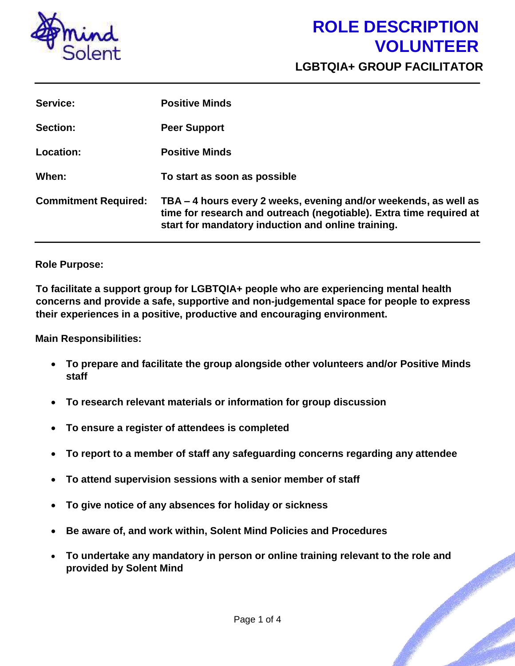

**LGBTQIA+ GROUP FACILITATOR** 

| Service:                    | <b>Positive Minds</b>                                                                                                                                                                         |
|-----------------------------|-----------------------------------------------------------------------------------------------------------------------------------------------------------------------------------------------|
| Section:                    | <b>Peer Support</b>                                                                                                                                                                           |
| <b>Location:</b>            | <b>Positive Minds</b>                                                                                                                                                                         |
| When:                       | To start as soon as possible                                                                                                                                                                  |
| <b>Commitment Required:</b> | TBA – 4 hours every 2 weeks, evening and/or weekends, as well as<br>time for research and outreach (negotiable). Extra time required at<br>start for mandatory induction and online training. |

#### **Role Purpose:**

**To facilitate a support group for LGBTQIA+ people who are experiencing mental health concerns and provide a safe, supportive and non-judgemental space for people to express their experiences in a positive, productive and encouraging environment.**

**Main Responsibilities:** 

- **To prepare and facilitate the group alongside other volunteers and/or Positive Minds staff**
- **To research relevant materials or information for group discussion**
- **To ensure a register of attendees is completed**
- **To report to a member of staff any safeguarding concerns regarding any attendee**
- **To attend supervision sessions with a senior member of staff**
- **To give notice of any absences for holiday or sickness**
- **Be aware of, and work within, Solent Mind Policies and Procedures**
- **To undertake any mandatory in person or online training relevant to the role and provided by Solent Mind**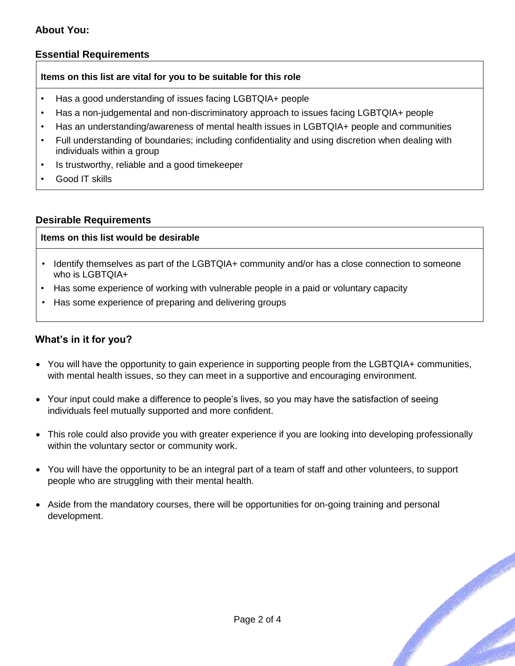#### **About You:**

#### **Essential Requirements**

#### **Items on this list are vital for you to be suitable for this role**

- Has a good understanding of issues facing LGBTQIA+ people
- Has a non-judgemental and non-discriminatory approach to issues facing LGBTQIA+ people
- Has an understanding/awareness of mental health issues in LGBTQIA+ people and communities
- Full understanding of boundaries; including confidentiality and using discretion when dealing with individuals within a group
- Is trustworthy, reliable and a good timekeeper
- Good IT skills

#### **Desirable Requirements**

#### **Items on this list would be desirable**

- Identify themselves as part of the LGBTQIA+ community and/or has a close connection to someone who is LGBTQIA+
- Has some experience of working with vulnerable people in a paid or voluntary capacity
- Has some experience of preparing and delivering groups

#### **What's in it for you?**

- You will have the opportunity to gain experience in supporting people from the LGBTQIA+ communities, with mental health issues, so they can meet in a supportive and encouraging environment.
- Your input could make a difference to people's lives, so you may have the satisfaction of seeing individuals feel mutually supported and more confident.
- This role could also provide you with greater experience if you are looking into developing professionally within the voluntary sector or community work.
- You will have the opportunity to be an integral part of a team of staff and other volunteers, to support people who are struggling with their mental health.
- Aside from the mandatory courses, there will be opportunities for on-going training and personal development.

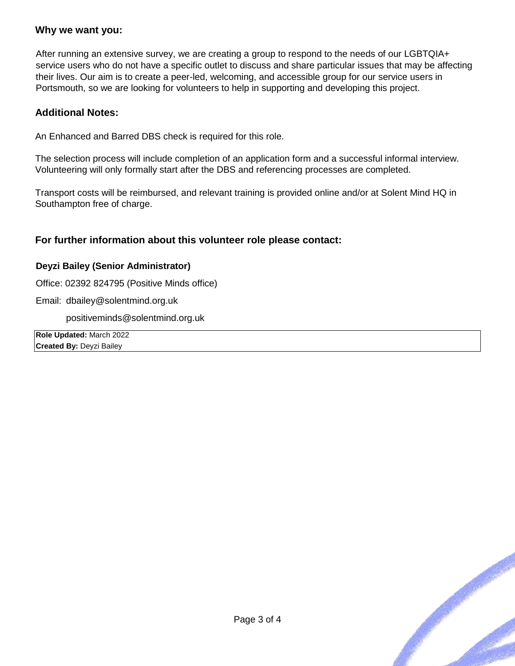#### **Why we want you:**

After running an extensive survey, we are creating a group to respond to the needs of our LGBTQIA+ service users who do not have a specific outlet to discuss and share particular issues that may be affecting their lives. Our aim is to create a peer-led, welcoming, and accessible group for our service users in Portsmouth, so we are looking for volunteers to help in supporting and developing this project.

#### **Additional Notes:**

An Enhanced and Barred DBS check is required for this role.

The selection process will include completion of an application form and a successful informal interview. Volunteering will only formally start after the DBS and referencing processes are completed.

Transport costs will be reimbursed, and relevant training is provided online and/or at Solent Mind HQ in Southampton free of charge.

#### **For further information about this volunteer role please contact:**

#### **Deyzi Bailey (Senior Administrator)**

Office: 02392 824795 (Positive Minds office)

Email: dbailey@solentmind.org.uk

positiveminds@solentmind.org.uk

**Role Updated:** March 2022 **Created By:** Deyzi Bailey